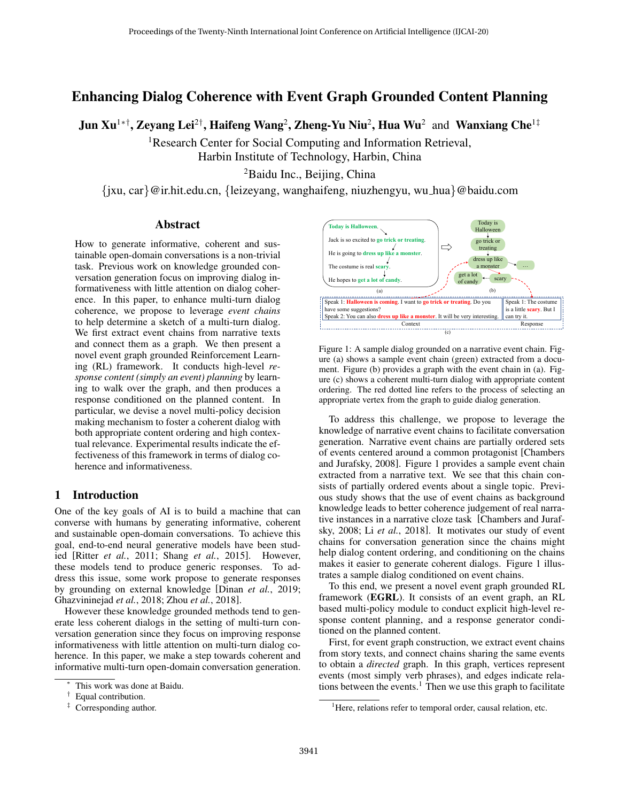# Enhancing Dialog Coherence with Event Graph Grounded Content Planning

Jun Xu<sup>1∗†</sup>, Zeyang Lei<sup>2†</sup>, Haifeng Wang<sup>2</sup>, Zheng-Yu Niu<sup>2</sup>, Hua Wu<sup>2</sup> and Wanxiang Che<sup>1‡</sup>

<sup>1</sup>Research Center for Social Computing and Information Retrieval, Harbin Institute of Technology, Harbin, China

<sup>2</sup>Baidu Inc., Beijing, China

{jxu, car}@ir.hit.edu.cn, {leizeyang, wanghaifeng, niuzhengyu, wu hua}@baidu.com

## Abstract

How to generate informative, coherent and sustainable open-domain conversations is a non-trivial task. Previous work on knowledge grounded conversation generation focus on improving dialog informativeness with little attention on dialog coherence. In this paper, to enhance multi-turn dialog coherence, we propose to leverage *event chains* to help determine a sketch of a multi-turn dialog. We first extract event chains from narrative texts and connect them as a graph. We then present a novel event graph grounded Reinforcement Learning (RL) framework. It conducts high-level *response content (simply an event) planning* by learning to walk over the graph, and then produces a response conditioned on the planned content. In particular, we devise a novel multi-policy decision making mechanism to foster a coherent dialog with both appropriate content ordering and high contextual relevance. Experimental results indicate the effectiveness of this framework in terms of dialog coherence and informativeness.

## 1 Introduction

One of the key goals of AI is to build a machine that can converse with humans by generating informative, coherent and sustainable open-domain conversations. To achieve this goal, end-to-end neural generative models have been studied [Ritter *et al.*[, 2011;](#page-6-0) Shang *et al.*[, 2015\]](#page-6-1). However, these models tend to produce generic responses. To address this issue, some work propose to generate responses by grounding on external knowledge [Dinan *et al.*[, 2019;](#page-6-2) [Ghazvininejad](#page-6-3) *et al.*, 2018; Zhou *et al.*[, 2018\]](#page-6-4).

However these knowledge grounded methods tend to generate less coherent dialogs in the setting of multi-turn conversation generation since they focus on improving response informativeness with little attention on multi-turn dialog coherence. In this paper, we make a step towards coherent and informative multi-turn open-domain conversation generation.

<span id="page-0-0"></span>

Figure 1: A sample dialog grounded on a narrative event chain. Figure (a) shows a sample event chain (green) extracted from a document. Figure (b) provides a graph with the event chain in (a). Figure (c) shows a coherent multi-turn dialog with appropriate content ordering. The red dotted line refers to the process of selecting an appropriate vertex from the graph to guide dialog generation.

To address this challenge, we propose to leverage the knowledge of narrative event chains to facilitate conversation generation. Narrative event chains are partially ordered sets of events centered around a common protagonist [\[Chambers](#page-6-5) [and Jurafsky, 2008\]](#page-6-5). Figure [1](#page-0-0) provides a sample event chain extracted from a narrative text. We see that this chain consists of partially ordered events about a single topic. Previous study shows that the use of event chains as background knowledge leads to better coherence judgement of real narrative instances in a narrative cloze task [\[Chambers and Juraf](#page-6-5)[sky, 2008;](#page-6-5) Li *et al.*[, 2018\]](#page-6-6). It motivates our study of event chains for conversation generation since the chains might help dialog content ordering, and conditioning on the chains makes it easier to generate coherent dialogs. Figure [1](#page-0-0) illustrates a sample dialog conditioned on event chains.

To this end, we present a novel event graph grounded RL framework (EGRL). It consists of an event graph, an RL based multi-policy module to conduct explicit high-level response content planning, and a response generator conditioned on the planned content.

First, for event graph construction, we extract event chains from story texts, and connect chains sharing the same events to obtain a *directed* graph. In this graph, vertices represent events (most simply verb phrases), and edges indicate rela-tions between the events.<sup>[1](#page-0-1)</sup> Then we use this graph to facilitate

This work was done at Baidu.

<sup>†</sup> Equal contribution.

<sup>‡</sup> Corresponding author.

<span id="page-0-1"></span><sup>&</sup>lt;sup>1</sup>Here, relations refer to temporal order, causal relation, etc.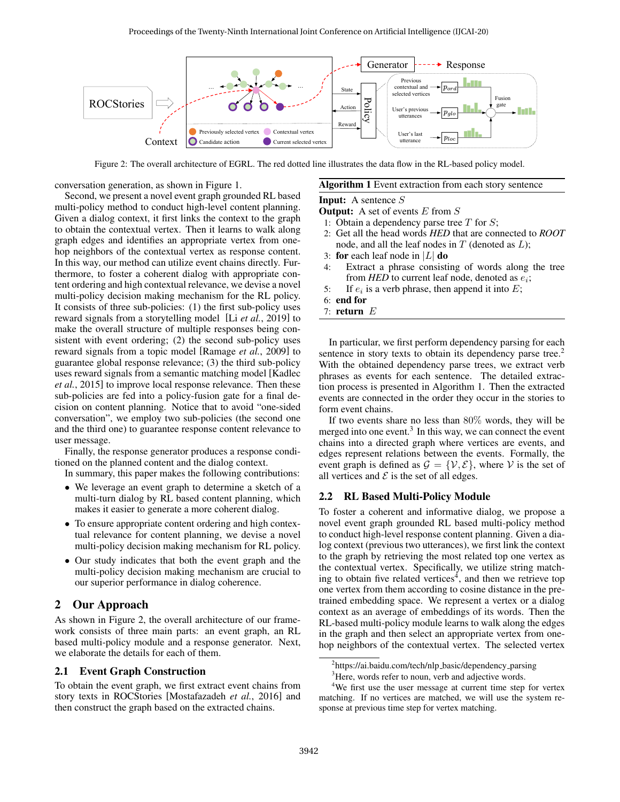<span id="page-1-0"></span>

Figure 2: The overall architecture of EGRL. The red dotted line illustrates the data flow in the RL-based policy model.

conversation generation, as shown in Figure [1.](#page-0-0)

Second, we present a novel event graph grounded RL based multi-policy method to conduct high-level content planning. Given a dialog context, it first links the context to the graph to obtain the contextual vertex. Then it learns to walk along graph edges and identifies an appropriate vertex from onehop neighbors of the contextual vertex as response content. In this way, our method can utilize event chains directly. Furthermore, to foster a coherent dialog with appropriate content ordering and high contextual relevance, we devise a novel multi-policy decision making mechanism for the RL policy. It consists of three sub-policies: (1) the first sub-policy uses reward signals from a storytelling model [Li *et al.*[, 2019\]](#page-6-7) to make the overall structure of multiple responses being consistent with event ordering; (2) the second sub-policy uses reward signals from a topic model [\[Ramage](#page-6-8) *et al.*, 2009] to guarantee global response relevance; (3) the third sub-policy uses reward signals from a semantic matching model [\[Kadlec](#page-6-9) *et al.*[, 2015\]](#page-6-9) to improve local response relevance. Then these sub-policies are fed into a policy-fusion gate for a final decision on content planning. Notice that to avoid "one-sided conversation", we employ two sub-policies (the second one and the third one) to guarantee response content relevance to user message.

Finally, the response generator produces a response conditioned on the planned content and the dialog context.

In summary, this paper makes the following contributions:

- We leverage an event graph to determine a sketch of a multi-turn dialog by RL based content planning, which makes it easier to generate a more coherent dialog.
- To ensure appropriate content ordering and high contextual relevance for content planning, we devise a novel multi-policy decision making mechanism for RL policy.
- Our study indicates that both the event graph and the multi-policy decision making mechanism are crucial to our superior performance in dialog coherence.

## 2 Our Approach

As shown in Figure [2,](#page-1-0) the overall architecture of our framework consists of three main parts: an event graph, an RL based multi-policy module and a response generator. Next, we elaborate the details for each of them.

## 2.1 Event Graph Construction

To obtain the event graph, we first extract event chains from story texts in ROCStories [\[Mostafazadeh](#page-6-10) *et al.*, 2016] and then construct the graph based on the extracted chains.

# <span id="page-1-2"></span>Algorithm 1 Event extraction from each story sentence

### Input: A sentence S

- **Output:** A set of events  $E$  from  $S$
- 1: Obtain a dependency parse tree  $T$  for  $S$ ;
- 2: Get all the head words *HED* that are connected to *ROOT* node, and all the leaf nodes in  $T$  (denoted as  $L$ );
- 3: for each leaf node in  $|L|$  do
- 4: Extract a phrase consisting of words along the tree from  $HED$  to current leaf node, denoted as  $e_i$ ;
- 5: If  $e_i$  is a verb phrase, then append it into  $E$ ;
- 6: end for
- 7: return E

In particular, we first perform dependency parsing for each sentence in story texts to obtain its dependency parse tree.<sup>[2](#page-1-1)</sup> With the obtained dependency parse trees, we extract verb phrases as events for each sentence. The detailed extraction process is presented in Algorithm [1.](#page-1-2) Then the extracted events are connected in the order they occur in the stories to form event chains.

If two events share no less than 80% words, they will be merged into one event.<sup>[3](#page-1-3)</sup> In this way, we can connect the event chains into a directed graph where vertices are events, and edges represent relations between the events. Formally, the event graph is defined as  $\mathcal{G} = \{ \mathcal{V}, \mathcal{E} \}$ , where V is the set of all vertices and  $\mathcal E$  is the set of all edges.

### 2.2 RL Based Multi-Policy Module

To foster a coherent and informative dialog, we propose a novel event graph grounded RL based multi-policy method to conduct high-level response content planning. Given a dialog context (previous two utterances), we first link the context to the graph by retrieving the most related top one vertex as the contextual vertex. Specifically, we utilize string match-ing to obtain five related vertices<sup>[4](#page-1-4)</sup>, and then we retrieve top one vertex from them according to cosine distance in the pretrained embedding space. We represent a vertex or a dialog context as an average of embeddings of its words. Then the RL-based multi-policy module learns to walk along the edges in the graph and then select an appropriate vertex from onehop neighbors of the contextual vertex. The selected vertex

<span id="page-1-1"></span><sup>&</sup>lt;sup>2</sup>[https://ai.baidu.com/tech/nlp](https://ai.baidu.com/tech/nlp_basic/dependency_parsing)\_basic/dependency\_parsing

<span id="page-1-4"></span><span id="page-1-3"></span><sup>&</sup>lt;sup>3</sup>Here, words refer to noun, verb and adjective words.

<sup>&</sup>lt;sup>4</sup>We first use the user message at current time step for vertex matching. If no vertices are matched, we will use the system response at previous time step for vertex matching.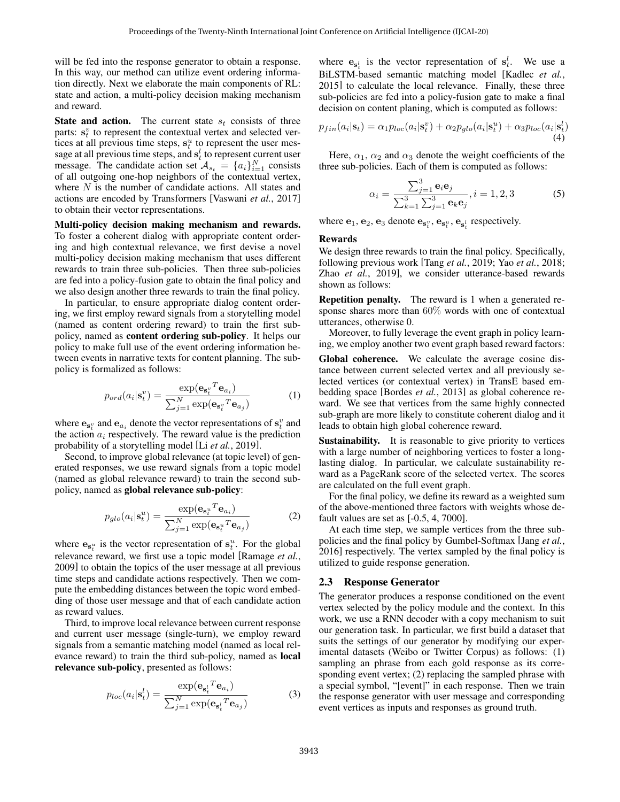will be fed into the response generator to obtain a response. In this way, our method can utilize event ordering information directly. Next we elaborate the main components of RL: state and action, a multi-policy decision making mechanism and reward.

**State and action.** The current state  $s_t$  consists of three parts:  $s_t^v$  to represent the contextual vertex and selected vertices at all previous time steps,  $s_t^u$  to represent the user message at all previous time steps, and  $s_t^l$  to represent current user message. The candidate action set  $\mathcal{A}_{s_t} = \{a_i\}_{i=1}^N$  consists of all outgoing one-hop neighbors of the contextual vertex, where  $N$  is the number of candidate actions. All states and actions are encoded by Transformers [\[Vaswani](#page-6-11) *et al.*, 2017] to obtain their vector representations.

Multi-policy decision making mechanism and rewards. To foster a coherent dialog with appropriate content ordering and high contextual relevance, we first devise a novel multi-policy decision making mechanism that uses different rewards to train three sub-policies. Then three sub-policies are fed into a policy-fusion gate to obtain the final policy and we also design another three rewards to train the final policy.

In particular, to ensure appropriate dialog content ordering, we first employ reward signals from a storytelling model (named as content ordering reward) to train the first subpolicy, named as content ordering sub-policy. It helps our policy to make full use of the event ordering information between events in narrative texts for content planning. The subpolicy is formalized as follows:

$$
p_{ord}(a_i|\mathbf{s}_t^v) = \frac{\exp(\mathbf{e}_{\mathbf{s}_t^v}^T \mathbf{e}_{a_i})}{\sum_{j=1}^N \exp(\mathbf{e}_{\mathbf{s}_t^v}^T \mathbf{e}_{a_j})}
$$
(1)

where  $\mathbf{e}_{\mathbf{s}_t^v}$  and  $\mathbf{e}_{a_t}$  denote the vector representations of  $\mathbf{s}_t^v$  and the action  $a_i$  respectively. The reward value is the prediction probability of a storytelling model [Li *et al.*[, 2019\]](#page-6-7).

Second, to improve global relevance (at topic level) of generated responses, we use reward signals from a topic model (named as global relevance reward) to train the second subpolicy, named as global relevance sub-policy:

$$
p_{glo}(a_i|\mathbf{s}_t^u) = \frac{\exp(\mathbf{e}_{\mathbf{s}_t^u}^T \mathbf{e}_{a_i})}{\sum_{j=1}^N \exp(\mathbf{e}_{\mathbf{s}_t^u}^T \mathbf{e}_{a_j})}
$$
(2)

where  $e_{s_t^u}$  is the vector representation of  $s_t^u$ . For the global relevance reward, we first use a topic model [\[Ramage](#page-6-8) *et al.*, [2009\]](#page-6-8) to obtain the topics of the user message at all previous time steps and candidate actions respectively. Then we compute the embedding distances between the topic word embedding of those user message and that of each candidate action as reward values.

Third, to improve local relevance between current response and current user message (single-turn), we employ reward signals from a semantic matching model (named as local relevance reward) to train the third sub-policy, named as local relevance sub-policy, presented as follows:

$$
p_{loc}(a_i|\mathbf{s}_t^l) = \frac{\exp(\mathbf{e}_{\mathbf{s}_t^l}^T \mathbf{e}_{a_i})}{\sum_{j=1}^N \exp(\mathbf{e}_{\mathbf{s}_t^l}^T \mathbf{e}_{a_j})}
$$
(3)

where  $e_{s_t^l}$  is the vector representation of  $s_t^l$ . We use a BiLSTM-based semantic matching model [\[Kadlec](#page-6-9) *et al.*, [2015\]](#page-6-9) to calculate the local relevance. Finally, these three sub-policies are fed into a policy-fusion gate to make a final decision on content planing, which is computed as follows:

$$
p_{fin}(a_i|\mathbf{s}_t) = \alpha_1 p_{loc}(a_i|\mathbf{s}_t^v) + \alpha_2 p_{glo}(a_i|\mathbf{s}_t^u) + \alpha_3 p_{loc}(a_i|\mathbf{s}_t^l)
$$
\n(4)

Here,  $\alpha_1$ ,  $\alpha_2$  and  $\alpha_3$  denote the weight coefficients of the three sub-policies. Each of them is computed as follows:

$$
\alpha_i = \frac{\sum_{j=1}^3 \mathbf{e}_i \mathbf{e}_j}{\sum_{k=1}^3 \sum_{j=1}^3 \mathbf{e}_k \mathbf{e}_j}, i = 1, 2, 3
$$
 (5)

where  $e_1, e_2, e_3$  denote  $e_{s_t^v}, e_{s_t^u}, e_{s_t^l}$  respectively.

#### Rewards

We design three rewards to train the final policy. Specifically, following previous work [Tang *et al.*[, 2019;](#page-6-12) Yao *et al.*[, 2018;](#page-6-13) Zhao *et al.*[, 2019\]](#page-6-14), we consider utterance-based rewards shown as follows:

Repetition penalty. The reward is 1 when a generated response shares more than 60% words with one of contextual utterances, otherwise 0.

Moreover, to fully leverage the event graph in policy learning, we employ another two event graph based reward factors:

Global coherence. We calculate the average cosine distance between current selected vertex and all previously selected vertices (or contextual vertex) in TransE based embedding space [\[Bordes](#page-6-15) *et al.*, 2013] as global coherence reward. We see that vertices from the same highly connected sub-graph are more likely to constitute coherent dialog and it leads to obtain high global coherence reward.

Sustainability. It is reasonable to give priority to vertices with a large number of neighboring vertices to foster a longlasting dialog. In particular, we calculate sustainability reward as a PageRank score of the selected vertex. The scores are calculated on the full event graph.

For the final policy, we define its reward as a weighted sum of the above-mentioned three factors with weights whose default values are set as [-0.5, 4, 7000].

At each time step, we sample vertices from the three subpolicies and the final policy by Gumbel-Softmax [\[Jang](#page-6-16) *et al.*, [2016\]](#page-6-16) respectively. The vertex sampled by the final policy is utilized to guide response generation.

#### 2.3 Response Generator

The generator produces a response conditioned on the event vertex selected by the policy module and the context. In this work, we use a RNN decoder with a copy mechanism to suit our generation task. In particular, we first build a dataset that suits the settings of our generator by modifying our experimental datasets (Weibo or Twitter Corpus) as follows: (1) sampling an phrase from each gold response as its corresponding event vertex; (2) replacing the sampled phrase with a special symbol, "[event]" in each response. Then we train the response generator with user message and corresponding event vertices as inputs and responses as ground truth.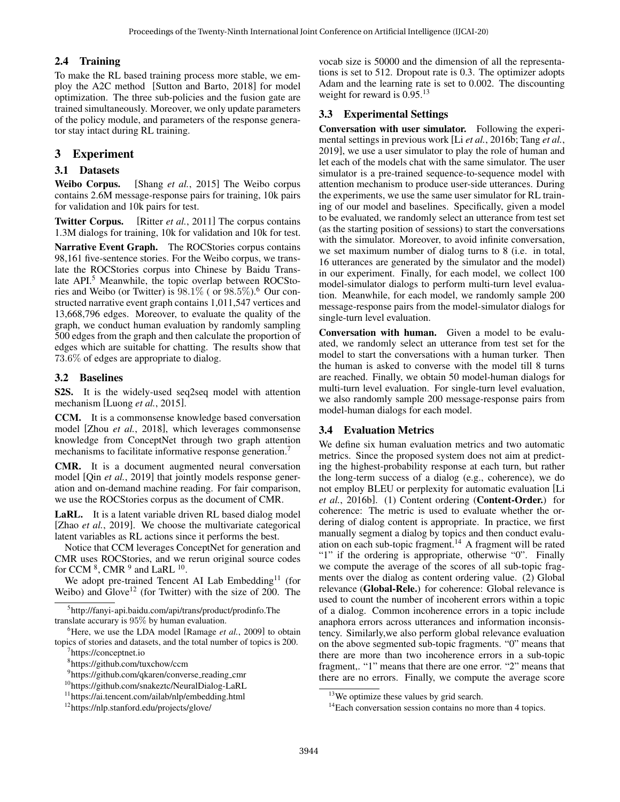## 2.4 Training

To make the RL based training process more stable, we employ the A2C method [\[Sutton and Barto, 2018\]](#page-6-17) for model optimization. The three sub-policies and the fusion gate are trained simultaneously. Moreover, we only update parameters of the policy module, and parameters of the response generator stay intact during RL training.

# 3 Experiment

## 3.1 Datasets

Weibo Corpus. [Shang *et al.*[, 2015\]](#page-6-1) The Weibo corpus contains 2.6M message-response pairs for training, 10k pairs for validation and 10k pairs for test.

Twitter Corpus. [Ritter *et al.*[, 2011\]](#page-6-0) The corpus contains 1.3M dialogs for training, 10k for validation and 10k for test.

Narrative Event Graph. The ROCStories corpus contains 98,161 five-sentence stories. For the Weibo corpus, we translate the ROCStories corpus into Chinese by Baidu Trans-late API.<sup>[5](#page-3-0)</sup> Meanwhile, the topic overlap between ROCStories and Weibo (or Twitter) is  $98.1\%$  (or  $98.5\%$ ).<sup>[6](#page-3-1)</sup> Our constructed narrative event graph contains 1,011,547 vertices and 13,668,796 edges. Moreover, to evaluate the quality of the graph, we conduct human evaluation by randomly sampling 500 edges from the graph and then calculate the proportion of edges which are suitable for chatting. The results show that 73.6% of edges are appropriate to dialog.

## 3.2 Baselines

S2S. It is the widely-used seq2seq model with attention mechanism [\[Luong](#page-6-18) *et al.*, 2015].

CCM. It is a commonsense knowledge based conversation model [Zhou *et al.*[, 2018\]](#page-6-4), which leverages commonsense knowledge from ConceptNet through two graph attention mechanisms to facilitate informative response generation.<sup>[7](#page-3-2)</sup>

CMR. It is a document augmented neural conversation model [Qin *et al.*[, 2019\]](#page-6-19) that jointly models response generation and on-demand machine reading. For fair comparison, we use the ROCStories corpus as the document of CMR.

LaRL. It is a latent variable driven RL based dialog model [Zhao *et al.*[, 2019\]](#page-6-14). We choose the multivariate categorical latent variables as RL actions since it performs the best.

Notice that CCM leverages ConceptNet for generation and CMR uses ROCStories, and we rerun original source codes for CCM  $^8$  $^8$ , CMR  $^9$  $^9$  and LaRL  $^{10}$  $^{10}$  $^{10}$ .

We adopt pre-trained Tencent AI Lab Embedding<sup>[11](#page-3-6)</sup> (for Weibo) and  $Glove^{12}$  $Glove^{12}$  $Glove^{12}$  (for Twitter) with the size of 200. The

<span id="page-3-1"></span><sup>6</sup>Here, we use the LDA model [\[Ramage](#page-6-8) *et al.*, 2009] to obtain topics of stories and datasets, and the total number of topics is 200.

vocab size is 50000 and the dimension of all the representations is set to 512. Dropout rate is 0.3. The optimizer adopts Adam and the learning rate is set to 0.002. The discounting weight for reward is 0.95.<sup>[13](#page-3-8)</sup>

# 3.3 Experimental Settings

Conversation with user simulator. Following the experimental settings in previous work [Li *et al.*[, 2016b;](#page-6-20) [Tang](#page-6-12) *et al.*, [2019\]](#page-6-12), we use a user simulator to play the role of human and let each of the models chat with the same simulator. The user simulator is a pre-trained sequence-to-sequence model with attention mechanism to produce user-side utterances. During the experiments, we use the same user simulator for RL training of our model and baselines. Specifically, given a model to be evaluated, we randomly select an utterance from test set (as the starting position of sessions) to start the conversations with the simulator. Moreover, to avoid infinite conversation, we set maximum number of dialog turns to 8 (i.e. in total, 16 utterances are generated by the simulator and the model) in our experiment. Finally, for each model, we collect 100 model-simulator dialogs to perform multi-turn level evaluation. Meanwhile, for each model, we randomly sample 200 message-response pairs from the model-simulator dialogs for single-turn level evaluation.

Conversation with human. Given a model to be evaluated, we randomly select an utterance from test set for the model to start the conversations with a human turker. Then the human is asked to converse with the model till 8 turns are reached. Finally, we obtain 50 model-human dialogs for multi-turn level evaluation. For single-turn level evaluation, we also randomly sample 200 message-response pairs from model-human dialogs for each model.

## 3.4 Evaluation Metrics

We define six human evaluation metrics and two automatic metrics. Since the proposed system does not aim at predicting the highest-probability response at each turn, but rather the long-term success of a dialog (e.g., coherence), we do not employ BLEU or perplexity for automatic evaluation [\[Li](#page-6-20) *et al.*[, 2016b\]](#page-6-20). (1) Content ordering (Content-Order.) for coherence: The metric is used to evaluate whether the ordering of dialog content is appropriate. In practice, we first manually segment a dialog by topics and then conduct evaluation on each sub-topic fragment.[14](#page-3-9) A fragment will be rated "1" if the ordering is appropriate, otherwise "0". Finally we compute the average of the scores of all sub-topic fragments over the dialog as content ordering value. (2) Global relevance (Global-Rele.) for coherence: Global relevance is used to count the number of incoherent errors within a topic of a dialog. Common incoherence errors in a topic include anaphora errors across utterances and information inconsistency. Similarly,we also perform global relevance evaluation on the above segmented sub-topic fragments. "0" means that there are more than two incoherence errors in a sub-topic fragment,. "1" means that there are one error. "2" means that there are no errors. Finally, we compute the average score

<span id="page-3-0"></span><sup>5</sup> [http://fanyi-api.baidu.com/api/trans/product/prodinfo.](http://fanyi-api.baidu.com/api/trans/product/prodinfo)The translate accurary is 95% by human evaluation.

<span id="page-3-2"></span><sup>7</sup> https://conceptnet.io

<span id="page-3-3"></span><sup>8</sup> https://github.com/tuxchow/ccm

<span id="page-3-4"></span><sup>&</sup>lt;sup>9</sup>https://github.com/qkaren/converse\_reading\_cmr

<span id="page-3-5"></span><sup>10</sup>https://github.com/snakeztc/NeuralDialog-LaRL

<span id="page-3-6"></span><sup>11</sup><https://ai.tencent.com/ailab/nlp/embedding.html>

<span id="page-3-7"></span><sup>12</sup><https://nlp.stanford.edu/projects/glove/>

<span id="page-3-8"></span><sup>&</sup>lt;sup>13</sup>We optimize these values by grid search.

<span id="page-3-9"></span><sup>&</sup>lt;sup>14</sup>Each conversation session contains no more than 4 topics.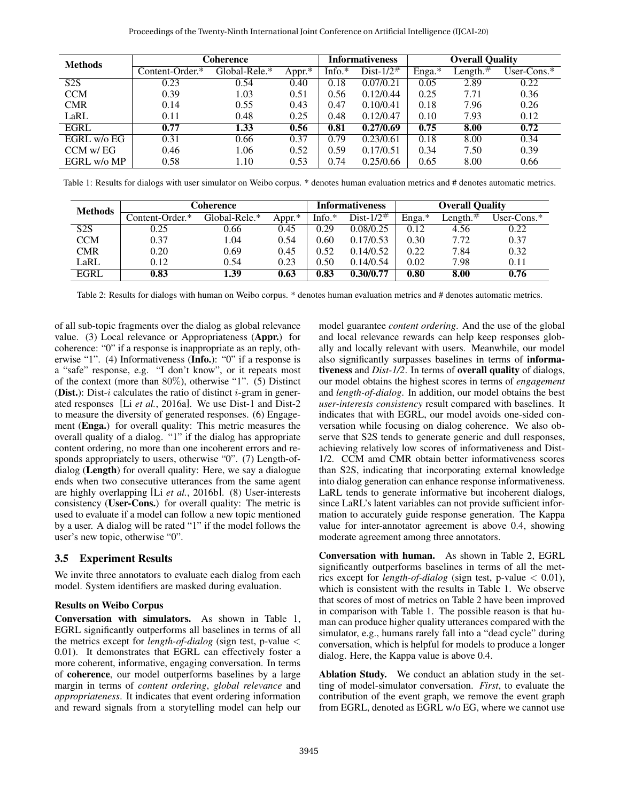<span id="page-4-0"></span>

| <b>Methods</b> | Coherence       |               |        | <b>Informativeness</b> |                  | <b>Overall Quality</b> |             |                |
|----------------|-----------------|---------------|--------|------------------------|------------------|------------------------|-------------|----------------|
|                | Content-Order.* | Global-Rele.* | Appr.* | Info. $*$              | Dist- $1/2^{\#}$ | Enga.*                 | Length. $#$ | User-Cons. $*$ |
| S2S            | 0.23            | 0.54          | 0.40   | 0.18                   | 0.07/0.21        | 0.05                   | 2.89        | 0.22           |
| <b>CCM</b>     | 0.39            | 1.03          | 0.51   | 0.56                   | 0.12/0.44        | 0.25                   | 7.71        | 0.36           |
| <b>CMR</b>     | 0.14            | 0.55          | 0.43   | 0.47                   | 0.10/0.41        | 0.18                   | 7.96        | 0.26           |
| LaRL           | 0.11            | 0.48          | 0.25   | 0.48                   | 0.12/0.47        | 0.10                   | 7.93        | 0.12           |
| EGRL           | 0.77            | 1.33          | 0.56   | 0.81                   | 0.27/0.69        | 0.75                   | 8.00        | 0.72           |
| EGRL w/o EG    | 0.31            | 0.66          | 0.37   | 0.79                   | 0.23/0.61        | 0.18                   | 8.00        | 0.34           |
| CCM w/EG       | 0.46            | 1.06          | 0.52   | 0.59                   | 0.17/0.51        | 0.34                   | 7.50        | 0.39           |
| EGRL w/o MP    | 0.58            | 1.10          | 0.53   | 0.74                   | 0.25/0.66        | 0.65                   | 8.00        | 0.66           |

Table 1: Results for dialogs with user simulator on Weibo corpus. \* denotes human evaluation metrics and # denotes automatic metrics.

<span id="page-4-1"></span>

| <b>Methods</b>   | <b>Coherence</b> |               |        | <b>Informativeness</b> |                  | <b>Overall Quality</b> |                       |                |
|------------------|------------------|---------------|--------|------------------------|------------------|------------------------|-----------------------|----------------|
|                  | Content-Order.*  | Global-Rele.* | Appr.* | Info. $*$              | Dist- $1/2^{\#}$ | Enga.*                 | $\text{Length.}^{\#}$ | User-Cons. $*$ |
| S <sub>2</sub> S | 0.25             | 0.66          | 0.45   | 0.29                   | 0.08/0.25        | 0.12                   | 4.56                  | 0.22           |
| <b>CCM</b>       | 0.37             | 1.04          | 0.54   | 0.60                   | 0.17/0.53        | 0.30                   | 7.72                  | 0.37           |
| <b>CMR</b>       | 0.20             | 0.69          | 0.45   | 0.52                   | 0.14/0.52        | 0.22                   | 7.84                  | 0.32           |
| LaRL             | 0.12             | 0.54          | 0.23   | 0.50                   | 0.14/0.54        | 0.02                   | 7.98                  | 0.11           |
| <b>EGRL</b>      | 0.83             | 1.39          | 0.63   | 0.83                   | 0.30/0.77        | 0.80                   | 8.00                  | 0.76           |

Table 2: Results for dialogs with human on Weibo corpus. \* denotes human evaluation metrics and # denotes automatic metrics.

of all sub-topic fragments over the dialog as global relevance value. (3) Local relevance or Appropriateness (Appr.) for coherence: "0" if a response is inappropriate as an reply, otherwise "1". (4) Informativeness (Info.): "0" if a response is a "safe" response, e.g. "I don't know", or it repeats most of the context (more than 80%), otherwise "1". (5) Distinct **(Dist.)**: Dist-i calculates the ratio of distinct i-gram in generated responses [Li *et al.*[, 2016a\]](#page-6-21). We use Dist-1 and Dist-2 to measure the diversity of generated responses. (6) Engagement (Enga.) for overall quality: This metric measures the overall quality of a dialog. "1" if the dialog has appropriate content ordering, no more than one incoherent errors and responds appropriately to users, otherwise "0". (7) Length-ofdialog (Length) for overall quality: Here, we say a dialogue ends when two consecutive utterances from the same agent are highly overlapping [Li *et al.*[, 2016b\]](#page-6-20). (8) User-interests consistency (User-Cons.) for overall quality: The metric is used to evaluate if a model can follow a new topic mentioned by a user. A dialog will be rated "1" if the model follows the user's new topic, otherwise "0".

### 3.5 Experiment Results

We invite three annotators to evaluate each dialog from each model. System identifiers are masked during evaluation.

#### Results on Weibo Corpus

Conversation with simulators. As shown in Table [1,](#page-4-0) EGRL significantly outperforms all baselines in terms of all the metrics except for *length-of-dialog* (sign test, p-value < 0.01). It demonstrates that EGRL can effectively foster a more coherent, informative, engaging conversation. In terms of coherence, our model outperforms baselines by a large margin in terms of *content ordering*, *global relevance* and *appropriateness*. It indicates that event ordering information and reward signals from a storytelling model can help our model guarantee *content ordering*. And the use of the global and local relevance rewards can help keep responses globally and locally relevant with users. Meanwhile, our model also significantly surpasses baselines in terms of informativeness and *Dist-1/2*. In terms of overall quality of dialogs, our model obtains the highest scores in terms of *engagement* and *length-of-dialog*. In addition, our model obtains the best *user-interests consistency* result compared with baselines. It indicates that with EGRL, our model avoids one-sided conversation while focusing on dialog coherence. We also observe that S2S tends to generate generic and dull responses, achieving relatively low scores of informativeness and Dist-1/2. CCM amd CMR obtain better informativeness scores than S2S, indicating that incorporating external knowledge into dialog generation can enhance response informativeness. LaRL tends to generate informative but incoherent dialogs, since LaRL's latent variables can not provide sufficient information to accurately guide response generation. The Kappa value for inter-annotator agreement is above 0.4, showing moderate agreement among three annotators.

Conversation with human. As shown in Table [2,](#page-4-1) EGRL significantly outperforms baselines in terms of all the metrics except for *length-of-dialog* (sign test, p-value < 0.01), which is consistent with the results in Table [1.](#page-4-0) We observe that scores of most of metrics on Table [2](#page-4-1) have been improved in comparison with Table [1.](#page-4-0) The possible reason is that human can produce higher quality utterances compared with the simulator, e.g., humans rarely fall into a "dead cycle" during conversation, which is helpful for models to produce a longer dialog. Here, the Kappa value is above 0.4.

Ablation Study. We conduct an ablation study in the setting of model-simulator conversation. *First*, to evaluate the contribution of the event graph, we remove the event graph from EGRL, denoted as EGRL w/o EG, where we cannot use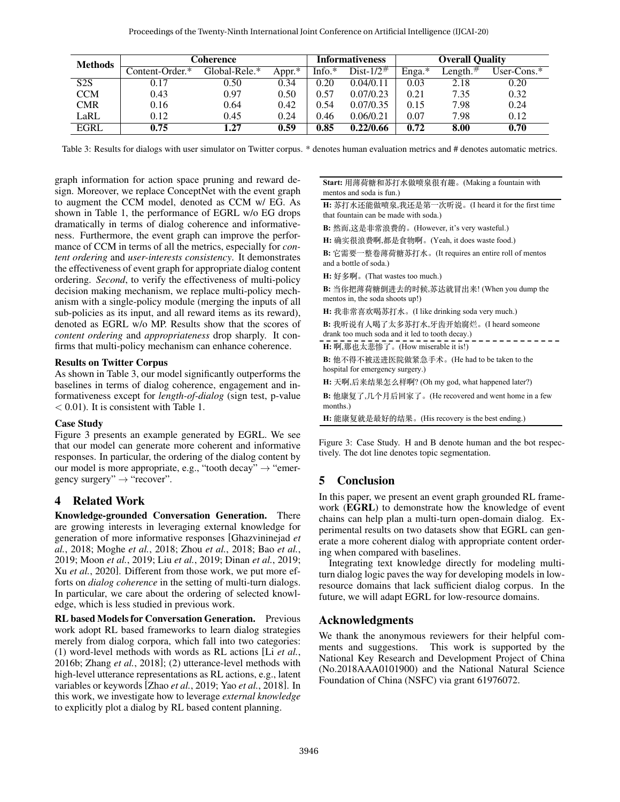<span id="page-5-0"></span>

| <b>Methods</b> | Coherence       |               |        | Informativeness |                  | <b>Overall Quality</b> |                       |                |
|----------------|-----------------|---------------|--------|-----------------|------------------|------------------------|-----------------------|----------------|
|                | Content-Order.* | Global-Rele.* | Appr.* | Info. $*$       | Dist- $1/2^{\#}$ | Enga.*                 | $\text{Length.}^{\#}$ | User-Cons. $*$ |
| S2S            | 0.17            | 0.50          | 0.34   | 0.20            | 0.04/0.11        | 0.03                   | 2.18                  | 0.20           |
| <b>CCM</b>     | 0.43            | 0.97          | 0.50   | 0.57            | 0.07/0.23        | 0.21                   | 7.35                  | 0.32           |
| <b>CMR</b>     | 0.16            | 0.64          | 0.42   | 0.54            | 0.07/0.35        | 0.15                   | 7.98                  | 0.24           |
| LaRL           | 0.12            | 0.45          | 0.24   | 0.46            | 0.06/0.21        | 0.07                   | 7.98                  | 0.12           |
| <b>EGRL</b>    | 0.75            | 1.27          | 0.59   | 0.85            | 0.22/0.66        | 0.72                   | 8.00                  | 0.70           |

Table 3: Results for dialogs with user simulator on Twitter corpus. \* denotes human evaluation metrics and # denotes automatic metrics.

graph information for action space pruning and reward design. Moreover, we replace ConceptNet with the event graph to augment the CCM model, denoted as CCM w/ EG. As shown in Table [1,](#page-4-0) the performance of EGRL w/o EG drops dramatically in terms of dialog coherence and informativeness. Furthermore, the event graph can improve the performance of CCM in terms of all the metrics, especially for *content ordering* and *user-interests consistency*. It demonstrates the effectiveness of event graph for appropriate dialog content ordering. *Second*, to verify the effectiveness of multi-policy decision making mechanism, we replace multi-policy mechanism with a single-policy module (merging the inputs of all sub-policies as its input, and all reward items as its reward), denoted as EGRL w/o MP. Results show that the scores of *content ordering* and *appropriateness* drop sharply. It confirms that multi-policy mechanism can enhance coherence.

#### Results on Twitter Corpus

As shown in Table [3,](#page-5-0) our model significantly outperforms the baselines in terms of dialog coherence, engagement and informativeness except for *length-of-dialog* (sign test, p-value < 0.01). It is consistent with Table [1.](#page-4-0)

#### Case Study

Figure [3](#page-5-1) presents an example generated by EGRL. We see that our model can generate more coherent and informative responses. In particular, the ordering of the dialog content by our model is more appropriate, e.g., "tooth decay"  $\rightarrow$  "emergency surgery"  $\rightarrow$  "recover".

# 4 Related Work

Knowledge-grounded Conversation Generation. There are growing interests in leveraging external knowledge for generation of more informative responses [\[Ghazvininejad](#page-6-3) *et al.*[, 2018;](#page-6-3) [Moghe](#page-6-22) *et al.*, 2018; Zhou *et al.*[, 2018;](#page-6-4) Bao *[et al.](#page-6-23)*, [2019;](#page-6-23) Moon *et al.*[, 2019;](#page-6-24) Liu *et al.*[, 2019;](#page-6-25) [Dinan](#page-6-2) *et al.*, 2019; Xu *et al.*[, 2020\]](#page-6-26). Different from those work, we put more efforts on *dialog coherence* in the setting of multi-turn dialogs. In particular, we care about the ordering of selected knowledge, which is less studied in previous work.

RL based Models for Conversation Generation. Previous work adopt RL based frameworks to learn dialog strategies merely from dialog corpora, which fall into two categories: (1) word-level methods with words as RL actions [Li *[et al.](#page-6-20)*, [2016b;](#page-6-20) Zhang *et al.*[, 2018\]](#page-6-27); (2) utterance-level methods with high-level utterance representations as RL actions, e.g., latent variables or keywords [Zhao *et al.*[, 2019;](#page-6-14) Yao *et al.*[, 2018\]](#page-6-13). In this work, we investigate how to leverage *external knowledge* to explicitly plot a dialog by RL based content planning.

#### <span id="page-5-1"></span>**Start:** ⽤薄荷糖和苏打⽔做喷泉很有趣。(Making a fountain with mentos and soda is fun.)

H: 苏打水还能做喷泉,我还是第一次听说。(I heard it for the first time that fountain can be made with soda.)

**B**: 然而,这是非常浪费的。(However, it's very wasteful.)

**H:** 确实很浪费啊,都是⾷物啊。(Yeah, it does waste food.)

**B:** 它需要⼀整卷薄荷糖苏打⽔。(It requires an entire roll of mentos and a bottle of soda.)

**H:** 好多啊。(That wastes too much.)

**B:** 当你把薄荷糖倒进去的时候,苏达就冒出来! (When you dump the mentos in, the soda shoots up!)

H: 我非常喜欢喝苏打水。(I like drinking soda very much.)

B: 我听说有人喝了太多苏打水,牙齿开始腐烂。(I heard someone drank too much soda and it led to tooth decay.)

**H:** 啊,那也太悲惨了。(How miserable it is!)

**B:** 他不得不被送进医院做紧急⼿术。(He had to be taken to the hospital for emergency surgery.)

**H:** 天啊,后来结果怎么样啊? (Oh my god, what happened later?)

B: 他康复了,几个月后回家了。(He recovered and went home in a few months.)

**H:** 能康复就是最好的结果。(His recovery is the best ending.)

Figure 3: Case Study. H and B denote human and the bot respectively. The dot line denotes topic segmentation.

## 5 Conclusion

In this paper, we present an event graph grounded RL framework (EGRL) to demonstrate how the knowledge of event chains can help plan a multi-turn open-domain dialog. Experimental results on two datasets show that EGRL can generate a more coherent dialog with appropriate content ordering when compared with baselines.

Integrating text knowledge directly for modeling multiturn dialog logic paves the way for developing models in lowresource domains that lack sufficient dialog corpus. In the future, we will adapt EGRL for low-resource domains.

## Acknowledgments

We thank the anonymous reviewers for their helpful comments and suggestions. This work is supported by the National Key Research and Development Project of China (No.2018AAA0101900) and the National Natural Science Foundation of China (NSFC) via grant 61976072.